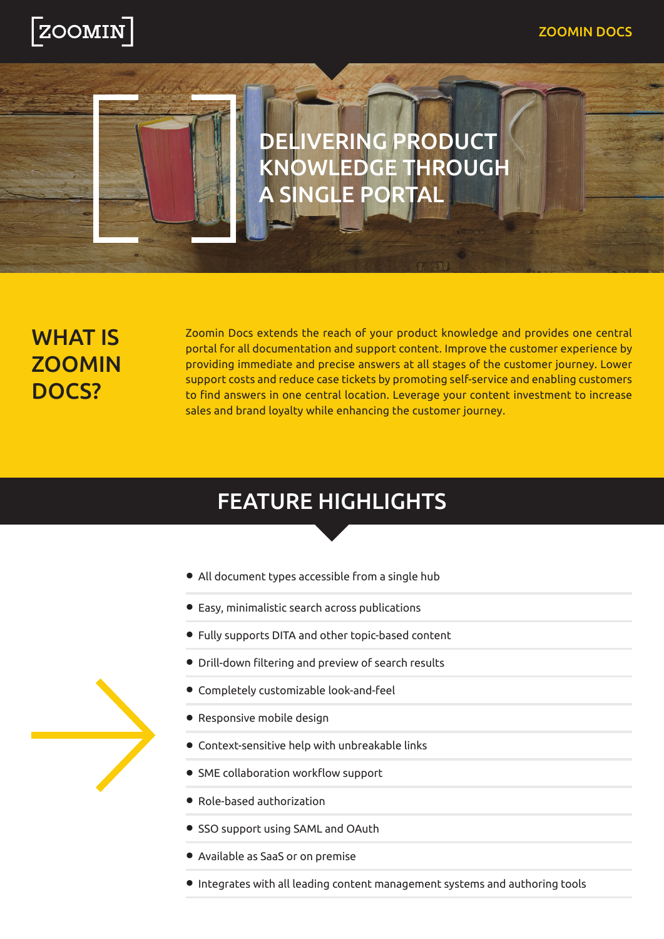

# DELIVERING PRODUCT KNOWLEDGE THROUGH **SINGLE PORT**

### **WHAT IS ZOOMIN** ?Docs

Zoomin Docs extends the reach of your product knowledge and provides one central portal for all documentation and support content. Improve the customer experience by providing immediate and precise answers at all stages of the customer journey. Lower support costs and reduce case tickets by promoting self-service and enabling customers to find answers in one central location. Leverage your content investment to increase sales and brand loyalty while enhancing the customer journey.

## **FEATURE HIGHLIGHTS**

- All document types accessible from a single hub
- Easy, minimalistic search across publications
- Fully supports DITA and other topic-based content
- Drill-down filtering and preview of search results
- **Completely customizable look-and-feel**
- Responsive mobile design
- Context-sensitive help with unbreakable links
- SME collaboration workflow support
- Role-based authorization
- SSO support using SAML and OAuth
- Available as SaaS or on premise
- Integrates with all leading content management systems and authoring tools